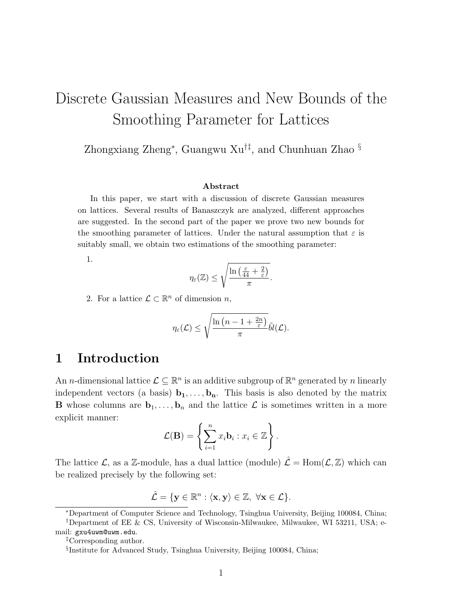# Discrete Gaussian Measures and New Bounds of the Smoothing Parameter for Lattices

Zhongxiang Zheng<sup>∗</sup> , Guangwu Xu†‡, and Chunhuan Zhao §

#### Abstract

In this paper, we start with a discussion of discrete Gaussian measures on lattices. Several results of Banaszczyk are analyzed, different approaches are suggested. In the second part of the paper we prove two new bounds for the smoothing parameter of lattices. Under the natural assumption that  $\varepsilon$  is suitably small, we obtain two estimations of the smoothing parameter:

1.

$$
\eta_{\varepsilon}(\mathbb{Z}) \leq \sqrt{\frac{\ln\left(\frac{\varepsilon}{44} + \frac{2}{\varepsilon}\right)}{\pi}}.
$$

2. For a lattice  $\mathcal{L} \subset \mathbb{R}^n$  of dimension n,

$$
\eta_\varepsilon(\mathcal{L}) \leq \sqrt{\frac{\ln\left(n-1+\frac{2n}{\varepsilon}\right)}{\pi}}\tilde{bl}(\mathcal{L}).
$$

## 1 Introduction

An *n*-dimensional lattice  $\mathcal{L} \subseteq \mathbb{R}^n$  is an additive subgroup of  $\mathbb{R}^n$  generated by *n* linearly independent vectors (a basis)  $\mathbf{b}_1, \ldots, \mathbf{b}_n$ . This basis is also denoted by the matrix **B** whose columns are  $\mathbf{b}_1, \ldots, \mathbf{b}_n$  and the lattice  $\mathcal{L}$  is sometimes written in a more explicit manner:

$$
\mathcal{L}(\mathbf{B}) = \left\{ \sum_{i=1}^{n} x_i \mathbf{b}_i : x_i \in \mathbb{Z} \right\}.
$$

The lattice  $\mathcal{L}$ , as a Z-module, has a dual lattice (module)  $\hat{\mathcal{L}} = \text{Hom}(\mathcal{L}, \mathbb{Z})$  which can be realized precisely by the following set:

$$
\hat{\mathcal{L}} = \{ \mathbf{y} \in \mathbb{R}^n : \langle \mathbf{x}, \mathbf{y} \rangle \in \mathbb{Z}, \ \forall \mathbf{x} \in \mathcal{L} \}.
$$

<sup>∗</sup>Department of Computer Science and Technology, Tsinghua University, Beijing 100084, China; †Department of EE & CS, University of Wisconsin-Milwaukee, Milwaukee, WI 53211, USA; email: gxu4uwm@uwm.edu.

<sup>‡</sup>Corresponding author.

<sup>§</sup> Institute for Advanced Study, Tsinghua University, Beijing 100084, China;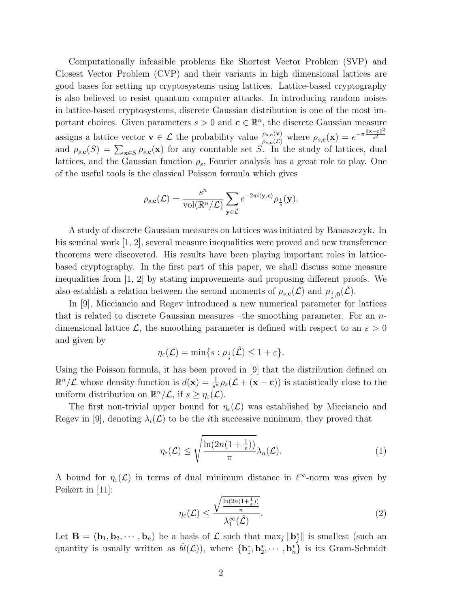Computationally infeasible problems like Shortest Vector Problem (SVP) and Closest Vector Problem (CVP) and their variants in high dimensional lattices are good bases for setting up cryptosystems using lattices. Lattice-based cryptography is also believed to resist quantum computer attacks. In introducing random noises in lattice-based cryptosystems, discrete Gaussian distribution is one of the most important choices. Given parameters  $s > 0$  and  $\mathbf{c} \in \mathbb{R}^n$ , the discrete Gaussian measure assigns a lattice vector  $\mathbf{v} \in \mathcal{L}$  the probability value  $\frac{\rho_{s,c}(\mathbf{v})}{\rho_{s,c}(\mathcal{L})}$  where  $\rho_{s,c}(\mathbf{x}) = e^{-\pi \frac{\|\mathbf{x}-\mathbf{c}\|^2}{s^2}}$  $\overline{s^2}$ and  $\rho_{s,c}(S) = \sum_{\mathbf{x} \in S} \rho_{s,c}(\mathbf{x})$  for any countable set S. In the study of lattices, dual lattices, and the Gaussian function  $\rho_s$ , Fourier analysis has a great role to play. One of the useful tools is the classical Poisson formula which gives

$$
\rho_{s,\mathbf{c}}(\mathcal{L}) = \frac{s^n}{\mathrm{vol}(\mathbb{R}^n/\mathcal{L})} \sum_{\mathbf{y} \in \hat{\mathcal{L}}} e^{-2\pi i \langle \mathbf{y}, \mathbf{c} \rangle} \rho_{\frac{1}{s}}(\mathbf{y}).
$$

A study of discrete Gaussian measures on lattices was initiated by Banaszczyk. In his seminal work [1, 2], several measure inequalities were proved and new transference theorems were discovered. His results have been playing important roles in latticebased cryptography. In the first part of this paper, we shall discuss some measure inequalities from [1, 2] by stating improvements and proposing different proofs. We also establish a relation between the second moments of  $\rho_{s,c}(\mathcal{L})$  and  $\rho_{\frac{1}{s},0}(\hat{\mathcal{L}})$ .

In [9], Micciancio and Regev introduced a new numerical parameter for lattices that is related to discrete Gaussian measures –the smoothing parameter. For an ndimensional lattice L, the smoothing parameter is defined with respect to an  $\varepsilon > 0$ and given by

$$
\eta_{\varepsilon}(\mathcal{L}) = \min\{s : \rho_{\frac{1}{s}}(\hat{\mathcal{L}}) \leq 1 + \varepsilon\}.
$$

Using the Poisson formula, it has been proved in [9] that the distribution defined on  $\mathbb{R}^n/\mathcal{L}$  whose density function is  $d(\mathbf{x}) = \frac{1}{s^n} \rho_s(\mathcal{L} + (\mathbf{x} - \mathbf{c}))$  is statistically close to the uniform distribution on  $\mathbb{R}^n/\mathcal{L}$ , if  $s \geq \eta_{\varepsilon}(\mathcal{L})$ .

The first non-trivial upper bound for  $\eta_{\varepsilon}(\mathcal{L})$  was established by Micciancio and Regev in [9], denoting  $\lambda_i(\mathcal{L})$  to be the *i*th successive minimum, they proved that

$$
\eta_{\varepsilon}(\mathcal{L}) \le \sqrt{\frac{\ln(2n(1+\frac{1}{\varepsilon}))}{\pi}}\lambda_n(\mathcal{L}).
$$
\n(1)

A bound for  $\eta_{\varepsilon}(\mathcal{L})$  in terms of dual minimum distance in  $\ell^{\infty}$ -norm was given by Peikert in [11]:

$$
\eta_{\varepsilon}(\mathcal{L}) \le \frac{\sqrt{\frac{\ln(2n(1+\frac{1}{\varepsilon}))}{\pi}}}{\lambda_1^{\infty}(\hat{\mathcal{L}})}.
$$
\n(2)

Let  $\mathbf{B} = (\mathbf{b}_1, \mathbf{b}_2, \cdots, \mathbf{b}_n)$  be a basis of  $\mathcal{L}$  such that  $\max_j \|\mathbf{b}_j^*\|$  is smallest (such an quantity is usually written as  $\tilde{bl}(\mathcal{L})$ , where  ${\bf b}_1^*, {\bf b}_2^*, \cdots, {\bf b}_n^*$  is its Gram-Schmidt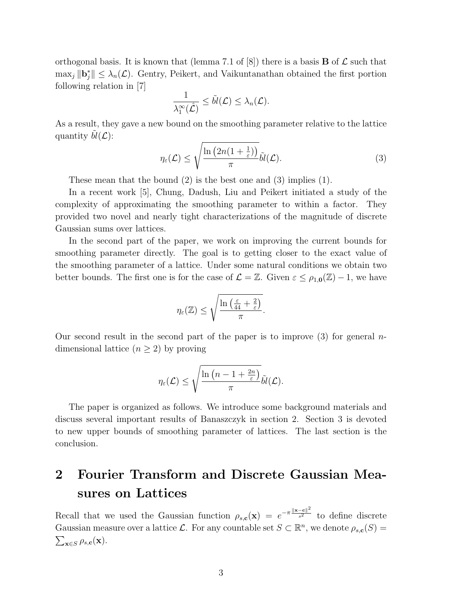orthogonal basis. It is known that (lemma 7.1 of  $|8|$ ) there is a basis **B** of  $\mathcal{L}$  such that  $\max_j ||\mathbf{b}_j^*|| \leq \lambda_n(\mathcal{L})$ . Gentry, Peikert, and Vaikuntanathan obtained the first portion following relation in [7]

$$
\frac{1}{\lambda_1^{\infty}(\hat{\mathcal{L}})} \leq \tilde{bl}(\mathcal{L}) \leq \lambda_n(\mathcal{L}).
$$

As a result, they gave a new bound on the smoothing parameter relative to the lattice quantity  $bl(\mathcal{L})$ :

$$
\eta_{\varepsilon}(\mathcal{L}) \leq \sqrt{\frac{\ln\left(2n(1+\frac{1}{\varepsilon})\right)}{\pi}}\tilde{bl}(\mathcal{L}).
$$
\n(3)

These mean that the bound (2) is the best one and (3) implies (1).

In a recent work [5], Chung, Dadush, Liu and Peikert initiated a study of the complexity of approximating the smoothing parameter to within a factor. They provided two novel and nearly tight characterizations of the magnitude of discrete Gaussian sums over lattices.

In the second part of the paper, we work on improving the current bounds for smoothing parameter directly. The goal is to getting closer to the exact value of the smoothing parameter of a lattice. Under some natural conditions we obtain two better bounds. The first one is for the case of  $\mathcal{L} = \mathbb{Z}$ . Given  $\varepsilon \leq \rho_{1,0}(\mathbb{Z}) - 1$ , we have

$$
\eta_{\varepsilon}(\mathbb{Z}) \leq \sqrt{\frac{\ln\left(\frac{\varepsilon}{44} + \frac{2}{\varepsilon}\right)}{\pi}}.
$$

Our second result in the second part of the paper is to improve  $(3)$  for general ndimensional lattice  $(n \geq 2)$  by proving

$$
\eta_{\varepsilon}(\mathcal{L}) \leq \sqrt{\frac{\ln\left(n-1+\frac{2n}{\varepsilon}\right)}{\pi}}\tilde{bl}(\mathcal{L}).
$$

The paper is organized as follows. We introduce some background materials and discuss several important results of Banaszczyk in section 2. Section 3 is devoted to new upper bounds of smoothing parameter of lattices. The last section is the conclusion.

# 2 Fourier Transform and Discrete Gaussian Measures on Lattices

Recall that we used the Gaussian function  $\rho_{s,c}(\mathbf{x}) = e^{-\pi \frac{\|\mathbf{x}-\mathbf{c}\|^2}{s^2}}$  to define discrete Gaussian measure over a lattice L. For any countable set  $S \subset \mathbb{R}^n$ , we denote  $\rho_{s,c}(S)$  $\sum_{\mathbf{x}\in S} \rho_{s,\mathbf{c}}(\mathbf{x}).$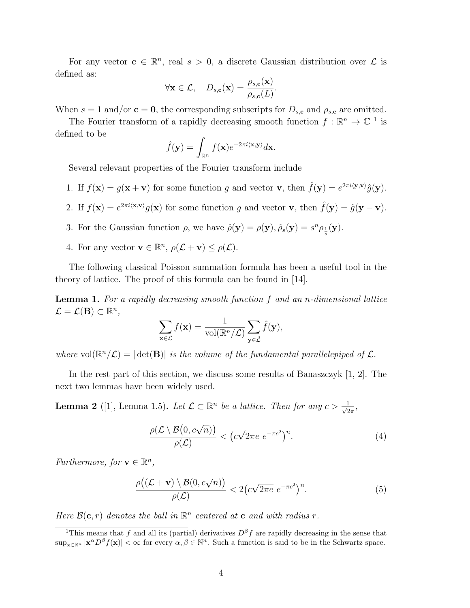For any vector  $\mathbf{c} \in \mathbb{R}^n$ , real  $s > 0$ , a discrete Gaussian distribution over  $\mathcal{L}$  is defined as:

$$
\forall \mathbf{x} \in \mathcal{L}, \quad D_{s,\mathbf{c}}(\mathbf{x}) = \frac{\rho_{s,\mathbf{c}}(\mathbf{x})}{\rho_{s,\mathbf{c}}(L)}.
$$

When  $s = 1$  and/or  $\mathbf{c} = \mathbf{0}$ , the corresponding subscripts for  $D_{s,c}$  and  $\rho_{s,c}$  are omitted.

The Fourier transform of a rapidly decreasing smooth function  $f : \mathbb{R}^n \to \mathbb{C}^{-1}$  is defined to be

$$
\hat{f}(\mathbf{y}) = \int_{\mathbb{R}^n} f(\mathbf{x}) e^{-2\pi i \langle \mathbf{x}, \mathbf{y} \rangle} d\mathbf{x}.
$$

Several relevant properties of the Fourier transform include

- 1. If  $f(\mathbf{x}) = g(\mathbf{x} + \mathbf{v})$  for some function g and vector **v**, then  $\hat{f}(\mathbf{y}) = e^{2\pi i \langle \mathbf{y}, \mathbf{v} \rangle} \hat{g}(\mathbf{y})$ .
- 2. If  $f(\mathbf{x}) = e^{2\pi i \langle \mathbf{x}, \mathbf{v} \rangle} g(\mathbf{x})$  for some function g and vector **v**, then  $\hat{f}(\mathbf{y}) = \hat{g}(\mathbf{y} \mathbf{v})$ .
- 3. For the Gaussian function  $\rho$ , we have  $\hat{\rho}(\mathbf{y}) = \rho(\mathbf{y}), \hat{\rho}_s(\mathbf{y}) = s^n \rho_{\frac{1}{s}}(\mathbf{y}).$
- 4. For any vector  $\mathbf{v} \in \mathbb{R}^n$ ,  $\rho(\mathcal{L} + \mathbf{v}) \leq \rho(\mathcal{L})$ .

The following classical Poisson summation formula has been a useful tool in the theory of lattice. The proof of this formula can be found in [14].

Lemma 1. For a rapidly decreasing smooth function f and an n-dimensional lattice  $\mathcal{L} = \mathcal{L}(\mathbf{B}) \subset \mathbb{R}^n$ ,

$$
\sum_{\mathbf{x}\in\mathcal{L}}f(\mathbf{x})=\frac{1}{\mathrm{vol}(\mathbb{R}^n/\mathcal{L})}\sum_{\mathbf{y}\in\hat{\mathcal{L}}}\hat{f}(\mathbf{y}),
$$

where  $vol(\mathbb{R}^n/\mathcal{L}) = |\det(\mathbf{B})|$  is the volume of the fundamental parallelepiped of  $\mathcal{L}$ .

In the rest part of this section, we discuss some results of Banaszczyk [1, 2]. The next two lemmas have been widely used.

**Lemma 2** ([1], Lemma 1.5). Let  $\mathcal{L} \subset \mathbb{R}^n$  be a lattice. Then for any  $c > \frac{1}{\sqrt{2}}$  $rac{1}{2\pi}$ ,

$$
\frac{\rho(\mathcal{L}\setminus\mathcal{B}(0,c\sqrt{n}))}{\rho(\mathcal{L})} < \left(c\sqrt{2\pi e} \ e^{-\pi c^2}\right)^n. \tag{4}
$$

Furthermore, for  $\mathbf{v} \in \mathbb{R}^n$ ,

$$
\frac{\rho\big((\mathcal{L}+\mathbf{v})\setminus\mathcal{B}(0,c\sqrt{n})\big)}{\rho(\mathcal{L})} < 2\big(c\sqrt{2\pi e} \; e^{-\pi c^2}\big)^n. \tag{5}
$$

Here  $\mathcal{B}(\mathbf{c}, r)$  denotes the ball in  $\mathbb{R}^n$  centered at **c** and with radius r.

<sup>&</sup>lt;sup>1</sup>This means that f and all its (partial) derivatives  $D^{\beta}f$  are rapidly decreasing in the sense that  $\sup_{\mathbf{x} \in \mathbb{R}^n} |\mathbf{x}^{\alpha}D^{\beta}f(\mathbf{x})| < \infty$  for every  $\alpha, \beta \in \mathbb{N}^n$ . Such a function is said to be in the Schwartz space.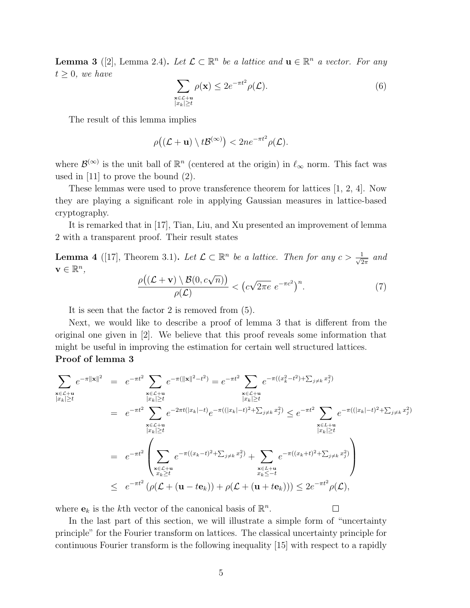**Lemma 3** ([2], Lemma 2.4). Let  $\mathcal{L} \subset \mathbb{R}^n$  be a lattice and  $\mathbf{u} \in \mathbb{R}^n$  a vector. For any  $t \geq 0$ , we have

$$
\sum_{\substack{\mathbf{x}\in\mathcal{L}+\mathbf{u}\\|x_k|\geq t}} \rho(\mathbf{x}) \leq 2e^{-\pi t^2} \rho(\mathcal{L}).\tag{6}
$$

The result of this lemma implies

$$
\rho((\mathcal{L} + \mathbf{u}) \setminus t\mathcal{B}^{(\infty)}) < 2ne^{-\pi t^2} \rho(\mathcal{L}).
$$

where  $\mathcal{B}^{(\infty)}$  is the unit ball of  $\mathbb{R}^n$  (centered at the origin) in  $\ell_{\infty}$  norm. This fact was used in [11] to prove the bound (2).

These lemmas were used to prove transference theorem for lattices [1, 2, 4]. Now they are playing a significant role in applying Gaussian measures in lattice-based cryptography.

It is remarked that in [17], Tian, Liu, and Xu presented an improvement of lemma 2 with a transparent proof. Their result states

**Lemma 4** ([17], Theorem 3.1). Let  $\mathcal{L} \subset \mathbb{R}^n$  be a lattice. Then for any  $c > \frac{1}{\sqrt{2}}$  $rac{1}{2\pi}$  and  $\mathbf{v} \in \mathbb{R}^n$ ,

$$
\frac{\rho\big((\mathcal{L}+\mathbf{v})\setminus\mathcal{B}(0,c\sqrt{n})\big)}{\rho(\mathcal{L})} < \big(c\sqrt{2\pi e} \; e^{-\pi c^2}\big)^n. \tag{7}
$$

 $\Box$ 

It is seen that the factor 2 is removed from (5).

Next, we would like to describe a proof of lemma 3 that is different from the original one given in [2]. We believe that this proof reveals some information that might be useful in improving the estimation for certain well structured lattices. Proof of lemma 3

$$
\sum_{\substack{\mathbf{x}\in\mathcal{L}+\mathbf{u}\\\|x_k|\geq t}} e^{-\pi \|x\|^2} = e^{-\pi t^2} \sum_{\substack{\mathbf{x}\in\mathcal{L}+\mathbf{u}\\\|x_k|\geq t}} e^{-\pi (||\mathbf{x}||^2 - t^2)} = e^{-\pi t^2} \sum_{\substack{\mathbf{x}\in\mathcal{L}+\mathbf{u}\\\|x_k|\geq t}} e^{-\pi (||x_k| - t)} e^{-\pi ((|x_k| - t)^2 + \sum_{j\neq k} x_j^2)} \leq e^{-\pi t^2} \sum_{\substack{\mathbf{x}\in\mathcal{L}+\mathbf{u}\\\|x_k|\geq t}} e^{-\pi (||x_k| - t)} e^{-\pi ((|x_k| - t)^2 + \sum_{j\neq k} x_j^2)} \leq e^{-\pi t^2} \sum_{\substack{\mathbf{x}\in\mathcal{L}+\mathbf{u}\\\|x_k|\geq t}} e^{-\pi ((|x_k| - t)^2 + \sum_{j\neq k} x_j^2)} \leq e^{-\pi t^2} \sum_{\substack{\mathbf{x}\in\mathcal{L}+\mathbf{u}\\\|x_k|\geq t}} e^{-\pi (||x_k| - t)^2 + \sum_{j\neq k} x_j^2} \leq e^{-\pi t^2} \left( \sum_{\substack{\mathbf{x}\in\mathcal{L}+\mathbf{u}\\\|x_k\geq t}} e^{-\pi ((x_k - t)^2 + \sum_{j\neq k} x_j^2)} + \sum_{\substack{\mathbf{x}\in\mathcal{L}+\mathbf{u}\\\|x_k\leq -t}} e^{-\pi ((x_k + t)^2 + \sum_{j\neq k} x_j^2)} \right)
$$

where  $\mathbf{e}_k$  is the k<sup>th</sup> vector of the canonical basis of  $\mathbb{R}^n$ .

In the last part of this section, we will illustrate a simple form of "uncertainty principle" for the Fourier transform on lattices. The classical uncertainty principle for continuous Fourier transform is the following inequality [15] with respect to a rapidly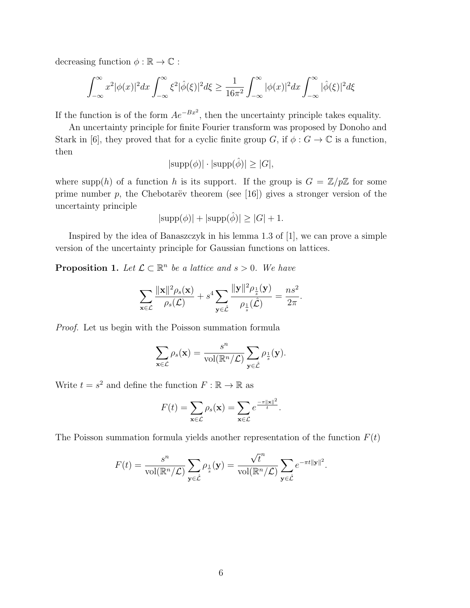decreasing function  $\phi : \mathbb{R} \to \mathbb{C}$ :

$$
\int_{-\infty}^{\infty} x^2 |\phi(x)|^2 dx \int_{-\infty}^{\infty} \xi^2 |\hat{\phi}(\xi)|^2 d\xi \ge \frac{1}{16\pi^2} \int_{-\infty}^{\infty} |\phi(x)|^2 dx \int_{-\infty}^{\infty} |\hat{\phi}(\xi)|^2 d\xi
$$

If the function is of the form  $Ae^{-Bx^2}$ , then the uncertainty principle takes equality.

An uncertainty principle for finite Fourier transform was proposed by Donoho and Stark in [6], they proved that for a cyclic finite group G, if  $\phi : G \to \mathbb{C}$  is a function, then

$$
|\text{supp}(\phi)| \cdot |\text{supp}(\hat{\phi})| \ge |G|,
$$

where supp(h) of a function h is its support. If the group is  $G = \mathbb{Z}/p\mathbb{Z}$  for some prime number p, the Chebotarëv theorem (see [16]) gives a stronger version of the uncertainty principle

$$
|\text{supp}(\phi)| + |\text{supp}(\hat{\phi})| \ge |G| + 1.
$$

Inspired by the idea of Banaszczyk in his lemma 1.3 of [1], we can prove a simple version of the uncertainty principle for Gaussian functions on lattices.

**Proposition 1.** Let  $\mathcal{L} \subset \mathbb{R}^n$  be a lattice and  $s > 0$ . We have

$$
\sum_{\mathbf{x}\in\mathcal{L}}\frac{\|\mathbf{x}\|^2\rho_s(\mathbf{x})}{\rho_s(\mathcal{L})}+s^4\sum_{\mathbf{y}\in\hat{\mathcal{L}}}\frac{\|\mathbf{y}\|^2\rho_{\frac{1}{s}}(\mathbf{y})}{\rho_{\frac{1}{s}}(\hat{\mathcal{L}})}=\frac{ns^2}{2\pi}.
$$

Proof. Let us begin with the Poisson summation formula

$$
\sum_{\mathbf{x}\in\mathcal{L}}\rho_s(\mathbf{x})=\frac{s^n}{\mathrm{vol}(\mathbb{R}^n/\mathcal{L})}\sum_{\mathbf{y}\in\hat{\mathcal{L}}}\rho_{\frac{1}{s}}(\mathbf{y}).
$$

Write  $t = s^2$  and define the function  $F : \mathbb{R} \to \mathbb{R}$  as

$$
F(t) = \sum_{\mathbf{x} \in \mathcal{L}} \rho_s(\mathbf{x}) = \sum_{\mathbf{x} \in \mathcal{L}} e^{\frac{-\pi ||\mathbf{x}||^2}{t}}.
$$

The Poisson summation formula yields another representation of the function  $F(t)$ 

$$
F(t) = \frac{s^n}{\text{vol}(\mathbb{R}^n/\mathcal{L})} \sum_{\mathbf{y} \in \hat{\mathcal{L}}} \rho_{\frac{1}{s}}(\mathbf{y}) = \frac{\sqrt{t}^n}{\text{vol}(\mathbb{R}^n/\mathcal{L})} \sum_{\mathbf{y} \in \hat{\mathcal{L}}} e^{-\pi t ||\mathbf{y}||^2}.
$$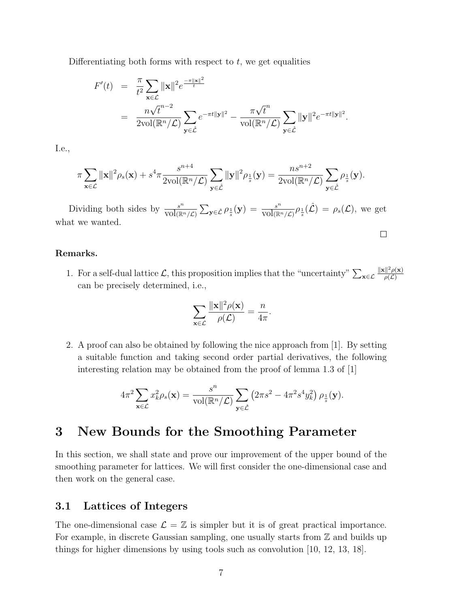Differentiating both forms with respect to  $t$ , we get equalities

$$
F'(t) = \frac{\pi}{t^2} \sum_{\mathbf{x}\in\mathcal{L}} ||\mathbf{x}||^2 e^{\frac{-\pi ||\mathbf{x}||^2}{t}}
$$
  
= 
$$
\frac{n\sqrt{t}^{n-2}}{2\text{vol}(\mathbb{R}^n/\mathcal{L})} \sum_{\mathbf{y}\in\hat{\mathcal{L}}} e^{-\pi t ||\mathbf{y}||^2} - \frac{\pi\sqrt{t}^n}{\text{vol}(\mathbb{R}^n/\mathcal{L})} \sum_{\mathbf{y}\in\hat{\mathcal{L}}} ||\mathbf{y}||^2 e^{-\pi t ||\mathbf{y}||^2}.
$$

I.e.,

$$
\pi \sum_{\mathbf{x}\in\mathcal{L}} \|\mathbf{x}\|^2 \rho_s(\mathbf{x}) + s^4 \pi \frac{s^{n+4}}{2\text{vol}(\mathbb{R}^n/\mathcal{L})} \sum_{\mathbf{y}\in\hat{\mathcal{L}}} \|\mathbf{y}\|^2 \rho_{\frac{1}{s}}(\mathbf{y}) = \frac{ns^{n+2}}{2\text{vol}(\mathbb{R}^n/\mathcal{L})} \sum_{\mathbf{y}\in\hat{\mathcal{L}}} \rho_{\frac{1}{s}}(\mathbf{y}).
$$

Dividing both sides by  $\frac{s^n}{\sqrt{2\pi}}$  $\frac{s^n}{\text{vol}(\mathbb{R}^n/\mathcal{L})} \sum_{\mathbf{y} \in \hat{\mathcal{L}}} \rho_{\frac{1}{s}}(\mathbf{y}) = \frac{s^n}{\text{vol}(\mathbb{R}^n)}$  $\frac{s^n}{\text{vol}(\mathbb{R}^n/\mathcal{L})}\rho_{\frac{1}{s}}(\hat{\mathcal{L}}) = \rho_s(\mathcal{L}),$  we get what we wanted.  $\Box$ 

#### Remarks.

1. For a self-dual lattice  $\mathcal{L}$ , this proposition implies that the "uncertainty"  $\sum_{\mathbf{x}\in\mathcal{L}}$  $\|\mathbf{x}\|^2 \rho(\mathbf{x})$  $\rho(\mathcal{L})$ can be precisely determined, i.e.,

$$
\sum_{\mathbf{x}\in\mathcal{L}}\frac{\|\mathbf{x}\|^{2}\rho(\mathbf{x})}{\rho(\mathcal{L})}=\frac{n}{4\pi}.
$$

2. A proof can also be obtained by following the nice approach from [1]. By setting a suitable function and taking second order partial derivatives, the following interesting relation may be obtained from the proof of lemma 1.3 of [1]

$$
4\pi^2 \sum_{\mathbf{x}\in\mathcal{L}} x_k^2 \rho_s(\mathbf{x}) = \frac{s^n}{\text{vol}(\mathbb{R}^n/\mathcal{L})} \sum_{\mathbf{y}\in\hat{\mathcal{L}}} \left(2\pi s^2 - 4\pi^2 s^4 y_k^2\right) \rho_{\frac{1}{s}}(\mathbf{y}).
$$

## 3 New Bounds for the Smoothing Parameter

In this section, we shall state and prove our improvement of the upper bound of the smoothing parameter for lattices. We will first consider the one-dimensional case and then work on the general case.

### 3.1 Lattices of Integers

The one-dimensional case  $\mathcal{L} = \mathbb{Z}$  is simpler but it is of great practical importance. For example, in discrete Gaussian sampling, one usually starts from  $\mathbb Z$  and builds up things for higher dimensions by using tools such as convolution [10, 12, 13, 18].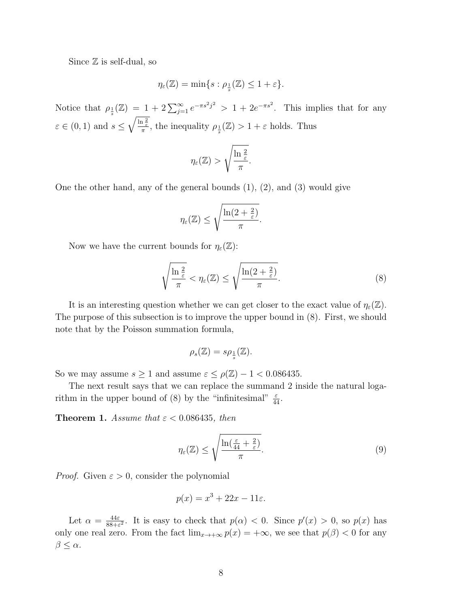Since  $\mathbb Z$  is self-dual, so

$$
\eta_\varepsilon(\mathbb{Z}) = \min\{s : \rho_{\frac{1}{s}}(\mathbb{Z}) \le 1 + \varepsilon\}.
$$

Notice that  $\rho_{\frac{1}{s}}(\mathbb{Z}) = 1 + 2 \sum_{j=1}^{\infty} e^{-\pi s^2 j^2} > 1 + 2e^{-\pi s^2}$ . This implies that for any  $\varepsilon \in (0, 1)$  and  $s \leq \sqrt{\frac{\ln \frac{2}{\varepsilon}}{\pi}}$ , the inequality  $\rho_{\frac{1}{s}}(\mathbb{Z}) > 1 + \varepsilon$  holds. Thus

$$
\eta_{\varepsilon}(\mathbb{Z}) > \sqrt{\frac{\ln \frac{2}{\varepsilon}}{\pi}}.
$$

One the other hand, any of the general bounds  $(1)$ ,  $(2)$ , and  $(3)$  would give

$$
\eta_{\varepsilon}(\mathbb{Z}) \leq \sqrt{\frac{\ln(2+\frac{2}{\varepsilon})}{\pi}}.
$$

Now we have the current bounds for  $\eta_{\varepsilon}(\mathbb{Z})$ :

$$
\sqrt{\frac{\ln\frac{2}{\varepsilon}}{\pi}} < \eta_{\varepsilon}(\mathbb{Z}) \le \sqrt{\frac{\ln(2 + \frac{2}{\varepsilon})}{\pi}}.\tag{8}
$$

It is an interesting question whether we can get closer to the exact value of  $\eta_{\varepsilon}(\mathbb{Z})$ . The purpose of this subsection is to improve the upper bound in (8). First, we should note that by the Poisson summation formula,

$$
\rho_s(\mathbb{Z}) = s\rho_{\frac{1}{s}}(\mathbb{Z}).
$$

So we may assume  $s \ge 1$  and assume  $\varepsilon \le \rho(\mathbb{Z}) - 1 < 0.086435$ .

The next result says that we can replace the summand 2 inside the natural logarithm in the upper bound of (8) by the "infinitesimal"  $\frac{\varepsilon}{44}$ .

Theorem 1. Assume that  $\varepsilon < 0.086435$ , then

$$
\eta_{\varepsilon}(\mathbb{Z}) \le \sqrt{\frac{\ln(\frac{\varepsilon}{44} + \frac{2}{\varepsilon})}{\pi}}.
$$
\n(9)

*Proof.* Given  $\varepsilon > 0$ , consider the polynomial

$$
p(x) = x^3 + 22x - 11\varepsilon.
$$

Let  $\alpha = \frac{44\varepsilon}{88+\varepsilon}$  $\frac{44\varepsilon}{88+\varepsilon^2}$ . It is easy to check that  $p(\alpha) < 0$ . Since  $p'(x) > 0$ , so  $p(x)$  has only one real zero. From the fact  $\lim_{x\to+\infty} p(x) = +\infty$ , we see that  $p(\beta) < 0$  for any  $\beta \leq \alpha$ .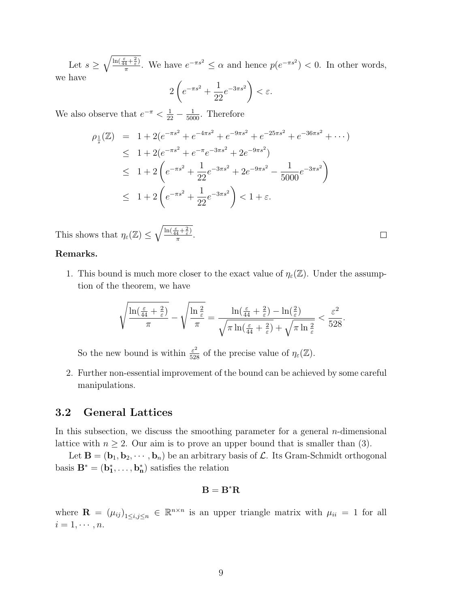Let  $s \geq \sqrt{\frac{\ln(\frac{\varepsilon}{44} + \frac{2}{\varepsilon})}{\pi}}$  $\frac{\frac{1}{4}+\frac{2}{\varepsilon}}{\pi}$ . We have  $e^{-\pi s^2} \leq \alpha$  and hence  $p(e^{-\pi s^2}) < 0$ . In other words, we have

$$
2\left(e^{-\pi s^2} + \frac{1}{22}e^{-3\pi s^2}\right) < \varepsilon.
$$

We also observe that  $e^{-\pi} < \frac{1}{22} - \frac{1}{5000}$ . Therefore

$$
\rho_{\frac{1}{s}}(\mathbb{Z}) = 1 + 2(e^{-\pi s^2} + e^{-4\pi s^2} + e^{-9\pi s^2} + e^{-25\pi s^2} + e^{-36\pi s^2} + \cdots)
$$
  
\n
$$
\leq 1 + 2(e^{-\pi s^2} + e^{-\pi}e^{-3\pi s^2} + 2e^{-9\pi s^2})
$$
  
\n
$$
\leq 1 + 2\left(e^{-\pi s^2} + \frac{1}{22}e^{-3\pi s^2} + 2e^{-9\pi s^2} - \frac{1}{5000}e^{-3\pi s^2}\right)
$$
  
\n
$$
\leq 1 + 2\left(e^{-\pi s^2} + \frac{1}{22}e^{-3\pi s^2}\right) < 1 + \varepsilon.
$$

This shows that  $\eta_{\varepsilon}(\mathbb{Z}) \leq \sqrt{\frac{\ln(\frac{\varepsilon}{44} + \frac{2}{\varepsilon})}{\pi}}$  $\frac{\overline{4}+\overline{\varepsilon}\,}{\pi}$ .

#### Remarks.

1. This bound is much more closer to the exact value of  $\eta_{\varepsilon}(\mathbb{Z})$ . Under the assumption of the theorem, we have

$$
\sqrt{\frac{\ln(\frac{\varepsilon}{44}+\frac{2}{\varepsilon})}{\pi}}-\sqrt{\frac{\ln\frac{2}{\varepsilon}}{\pi}}=\frac{\ln(\frac{\varepsilon}{44}+\frac{2}{\varepsilon})-\ln(\frac{2}{\varepsilon})}{\sqrt{\pi\ln(\frac{\varepsilon}{44}+\frac{2}{\varepsilon})}+\sqrt{\pi\ln\frac{2}{\varepsilon}}}<\frac{\varepsilon^2}{528}.
$$

So the new bound is within  $\frac{\varepsilon^2}{528}$  of the precise value of  $\eta_{\varepsilon}(\mathbb{Z})$ .

2. Further non-essential improvement of the bound can be achieved by some careful manipulations.

### 3.2 General Lattices

In this subsection, we discuss the smoothing parameter for a general  $n$ -dimensional lattice with  $n \geq 2$ . Our aim is to prove an upper bound that is smaller than (3).

Let  $\mathbf{B} = (\mathbf{b}_1, \mathbf{b}_2, \cdots, \mathbf{b}_n)$  be an arbitrary basis of  $\mathcal{L}$ . Its Gram-Schmidt orthogonal basis  $\mathbf{B}^* = (\mathbf{b}_1^*, \dots, \mathbf{b}_n^*)$  satisfies the relation

### $B = B^*R$

where  $\mathbf{R} = (\mu_{ij})_{1 \leq i,j \leq n} \in \mathbb{R}^{n \times n}$  is an upper triangle matrix with  $\mu_{ii} = 1$  for all  $i=1,\cdots,n.$ 

 $\Box$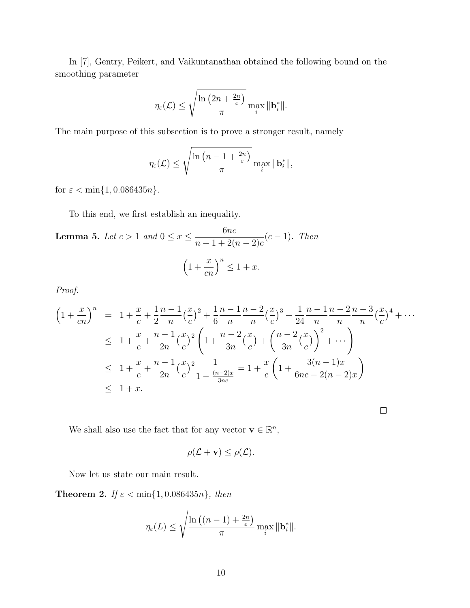In [7], Gentry, Peikert, and Vaikuntanathan obtained the following bound on the smoothing parameter

$$
\eta_{\varepsilon}(\mathcal{L}) \leq \sqrt{\frac{\ln\left(2n+\frac{2n}{\varepsilon}\right)}{\pi}} \max_{i} \|\mathbf{b}_{i}^{*}\|.
$$

The main purpose of this subsection is to prove a stronger result, namely

$$
\eta_{\varepsilon}(\mathcal{L}) \leq \sqrt{\frac{\ln\left(n-1+\frac{2n}{\varepsilon}\right)}{\pi}} \max_{i} \|\mathbf{b}_{i}^{*}\|,
$$

for  $\varepsilon < \min\{1, 0.086435n\}.$ 

To this end, we first establish an inequality.

**Lemma 5.** Let  $c > 1$  and  $0 \le x \le \frac{6nc}{1 + c^2}$  $n+1+2(n-2)c$  $(c-1)$ . Then  $\left(1 + \right)$  $\boldsymbol{x}$ cn  $\big)^n \leq 1 + x.$ 

Proof.

$$
\left(1+\frac{x}{cn}\right)^n = 1+\frac{x}{c}+\frac{1}{2}\frac{n-1}{n}\left(\frac{x}{c}\right)^2+\frac{1}{6}\frac{n-1}{n}\frac{n-2}{n}\left(\frac{x}{c}\right)^3+\frac{1}{24}\frac{n-1}{n}\frac{n-2}{n}\frac{n-3}{n}\left(\frac{x}{c}\right)^4+\cdots
$$
\n
$$
\leq 1+\frac{x}{c}+\frac{n-1}{2n}\left(\frac{x}{c}\right)^2\left(1+\frac{n-2}{3n}\left(\frac{x}{c}\right)+\left(\frac{n-2}{3n}\left(\frac{x}{c}\right)\right)^2+\cdots\right)
$$
\n
$$
\leq 1+\frac{x}{c}+\frac{n-1}{2n}\left(\frac{x}{c}\right)^2\frac{1}{1-\frac{(n-2)x}{3nc}}=1+\frac{x}{c}\left(1+\frac{3(n-1)x}{6nc-2(n-2)x}\right)
$$
\n
$$
\leq 1+x.
$$

 $\Box$ 

We shall also use the fact that for any vector  $\mathbf{v} \in \mathbb{R}^n$ ,

$$
\rho(\mathcal{L} + \mathbf{v}) \leq \rho(\mathcal{L}).
$$

Now let us state our main result.

**Theorem 2.** If  $\varepsilon < \min\{1, 0.086435n\}$ , then

$$
\eta_{\varepsilon}(L) \leq \sqrt{\frac{\ln\left((n-1)+\frac{2n}{\varepsilon}\right)}{\pi}} \max_{i} \|\mathbf{b}_{i}^{*}\|.
$$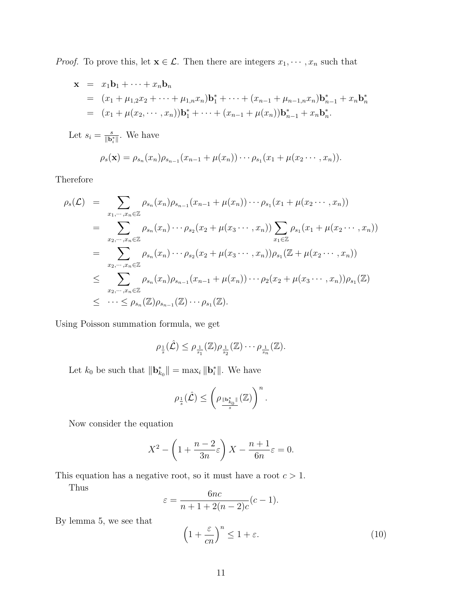*Proof.* To prove this, let  $\mathbf{x} \in \mathcal{L}$ . Then there are integers  $x_1, \dots, x_n$  such that

$$
\mathbf{x} = x_1 \mathbf{b}_1 + \dots + x_n \mathbf{b}_n
$$
  
=  $(x_1 + \mu_{1,2} x_2 + \dots + \mu_{1,n} x_n) \mathbf{b}_1^* + \dots + (x_{n-1} + \mu_{n-1,n} x_n) \mathbf{b}_{n-1}^* + x_n \mathbf{b}_n^*$   
=  $(x_1 + \mu(x_2, \dots, x_n)) \mathbf{b}_1^* + \dots + (x_{n-1} + \mu(x_n)) \mathbf{b}_{n-1}^* + x_n \mathbf{b}_n^*.$ 

Let  $s_i = \frac{s}{\|\mathbf{b}\|}$  $\frac{s}{\|\mathbf{b}_i^*\|}$ . We have

$$
\rho_s(\mathbf{x}) = \rho_{s_n}(x_n)\rho_{s_{n-1}}(x_{n-1} + \mu(x_n)) \cdots \rho_{s_1}(x_1 + \mu(x_2 \cdots, x_n)).
$$

Therefore

$$
\rho_s(\mathcal{L}) = \sum_{x_1, \dots, x_n \in \mathbb{Z}} \rho_{s_n}(x_n) \rho_{s_{n-1}}(x_{n-1} + \mu(x_n)) \cdots \rho_{s_1}(x_1 + \mu(x_2 \cdots, x_n))
$$
\n
$$
= \sum_{x_2, \dots, x_n \in \mathbb{Z}} \rho_{s_n}(x_n) \cdots \rho_{s_2}(x_2 + \mu(x_3 \cdots, x_n)) \sum_{x_1 \in \mathbb{Z}} \rho_{s_1}(x_1 + \mu(x_2 \cdots, x_n))
$$
\n
$$
= \sum_{x_2, \dots, x_n \in \mathbb{Z}} \rho_{s_n}(x_n) \cdots \rho_{s_2}(x_2 + \mu(x_3 \cdots, x_n)) \rho_{s_1}(\mathbb{Z} + \mu(x_2 \cdots, x_n))
$$
\n
$$
\leq \sum_{x_2, \dots, x_n \in \mathbb{Z}} \rho_{s_n}(x_n) \rho_{s_{n-1}}(x_{n-1} + \mu(x_n)) \cdots \rho_2(x_2 + \mu(x_3 \cdots, x_n)) \rho_{s_1}(\mathbb{Z})
$$
\n
$$
\leq \cdots \leq \rho_{s_n}(\mathbb{Z}) \rho_{s_{n-1}}(\mathbb{Z}) \cdots \rho_{s_1}(\mathbb{Z}).
$$

Using Poisson summation formula, we get

$$
\rho_{\frac{1}{s}}(\hat{\mathcal{L}}) \leq \rho_{\frac{1}{s_1}}(\mathbb{Z})\rho_{\frac{1}{s_2}}(\mathbb{Z})\cdots \rho_{\frac{1}{s_n}}(\mathbb{Z}).
$$

Let  $k_0$  be such that  $\|\mathbf{b}_{k_0}^*\| = \max_i \|\mathbf{b}_i^*\|$ . We have

$$
\rho_{\frac{1}{s}}(\hat{\mathcal{L}}) \leq \left(\rho_{\frac{\|\mathbf{b}_{k_0}\|}{s}}(\mathbb{Z})\right)^n.
$$

Now consider the equation

$$
X^{2} - \left(1 + \frac{n-2}{3n}\varepsilon\right)X - \frac{n+1}{6n}\varepsilon = 0.
$$

This equation has a negative root, so it must have a root  $c > 1$ .

Thus

$$
\varepsilon = \frac{6nc}{n+1+2(n-2)c}(c-1).
$$

By lemma 5, we see that

$$
\left(1 + \frac{\varepsilon}{cn}\right)^n \le 1 + \varepsilon. \tag{10}
$$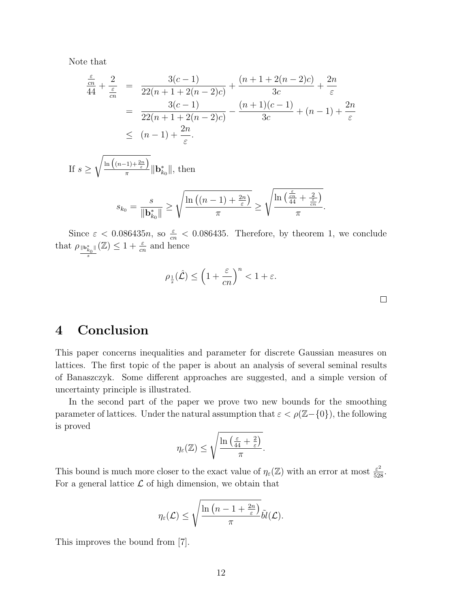Note that

$$
\frac{\frac{\varepsilon}{cn}}{44} + \frac{2}{\frac{\varepsilon}{cn}} = \frac{3(c-1)}{22(n+1+2(n-2)c)} + \frac{(n+1+2(n-2)c)}{3c} + \frac{2n}{\varepsilon}
$$
\n
$$
= \frac{3(c-1)}{22(n+1+2(n-2)c)} - \frac{(n+1)(c-1)}{3c} + (n-1) + \frac{2n}{\varepsilon}
$$
\n
$$
\leq (n-1) + \frac{2n}{\varepsilon}.
$$

If  $s \geq$  $\sqrt{\ln\left((n-1)+\frac{2n}{\varepsilon}\right)}$  $\frac{f^{(1)+\epsilon}}{\pi}$  ||**b**<sub> $k_0$ </sub> ||, then

$$
s_{k_0} = \frac{s}{\|\mathbf{b}_{k_0}^*\|} \ge \sqrt{\frac{\ln\left((n-1)+\frac{2n}{\varepsilon}\right)}{\pi}} \ge \sqrt{\frac{\ln\left(\frac{\varepsilon}{44} + \frac{2}{\varepsilon}}{\pi}\right)}.
$$

Since  $\varepsilon$  < 0.086435*n*, so  $\frac{\varepsilon}{cn}$  < 0.086435. Therefore, by theorem 1, we conclude that  $\rho_{\frac{\|\mathbf{b}_{k_0}^*\|}{2}}$  $(\mathbb{Z}) \leq 1 + \frac{\varepsilon}{cn}$  and hence

$$
\rho_{\frac{1}{s}}(\hat{\mathcal{L}}) \le \left(1 + \frac{\varepsilon}{cn}\right)^n < 1 + \varepsilon.
$$

 $\Box$ 

# 4 Conclusion

s

This paper concerns inequalities and parameter for discrete Gaussian measures on lattices. The first topic of the paper is about an analysis of several seminal results of Banaszczyk. Some different approaches are suggested, and a simple version of uncertainty principle is illustrated.

In the second part of the paper we prove two new bounds for the smoothing parameter of lattices. Under the natural assumption that  $\varepsilon < \rho(\mathbb{Z} - \{0\})$ , the following is proved

$$
\eta_{\varepsilon}(\mathbb{Z}) \leq \sqrt{\frac{\ln\left(\frac{\varepsilon}{44} + \frac{2}{\varepsilon}\right)}{\pi}}.
$$

This bound is much more closer to the exact value of  $\eta_{\varepsilon}(\mathbb{Z})$  with an error at most  $\frac{\varepsilon^2}{528}$ . For a general lattice  $\mathcal L$  of high dimension, we obtain that

$$
\eta_\varepsilon(\mathcal{L}) \leq \sqrt{\frac{\ln\left(n-1+\frac{2n}{\varepsilon}\right)}{\pi}}\tilde{bl}(\mathcal{L}).
$$

This improves the bound from [7].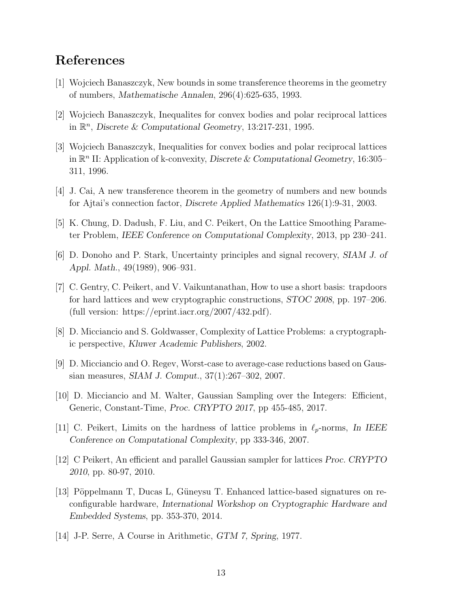## References

- [1] Wojciech Banaszczyk, New bounds in some transference theorems in the geometry of numbers, Mathematische Annalen, 296(4):625-635, 1993.
- [2] Wojciech Banaszczyk, Inequalites for convex bodies and polar reciprocal lattices in  $\mathbb{R}^n$ , Discrete & Computational Geometry, 13:217-231, 1995.
- [3] Wojciech Banaszczyk, Inequalities for convex bodies and polar reciprocal lattices in  $\mathbb{R}^n$  II: Application of k-convexity, Discrete & Computational Geometry, 16:305– 311, 1996.
- [4] J. Cai, A new transference theorem in the geometry of numbers and new bounds for Ajtai's connection factor, Discrete Applied Mathematics 126(1):9-31, 2003.
- [5] K. Chung, D. Dadush, F. Liu, and C. Peikert, On the Lattice Smoothing Parameter Problem, IEEE Conference on Computational Complexity, 2013, pp 230–241.
- [6] D. Donoho and P. Stark, Uncertainty principles and signal recovery, SIAM J. of Appl. Math., 49(1989), 906–931.
- [7] C. Gentry, C. Peikert, and V. Vaikuntanathan, How to use a short basis: trapdoors for hard lattices and wew cryptographic constructions, STOC 2008, pp. 197–206. (full version: https://eprint.iacr.org/2007/432.pdf).
- [8] D. Micciancio and S. Goldwasser, Complexity of Lattice Problems: a cryptographic perspective, Kluwer Academic Publishers, 2002.
- [9] D. Micciancio and O. Regev, Worst-case to average-case reductions based on Gaussian measures, SIAM J. Comput., 37(1):267–302, 2007.
- [10] D. Micciancio and M. Walter, Gaussian Sampling over the Integers: Efficient, Generic, Constant-Time, Proc. CRYPTO 2017, pp 455-485, 2017.
- [11] C. Peikert, Limits on the hardness of lattice problems in  $\ell_p$ -norms, In IEEE Conference on Computational Complexity, pp 333-346, 2007.
- [12] C Peikert, An efficient and parallel Gaussian sampler for lattices Proc. CRYPTO 2010, pp. 80-97, 2010.
- [13] Pöppelmann T, Ducas L, Güneysu T. Enhanced lattice-based signatures on reconfigurable hardware, International Workshop on Cryptographic Hardware and Embedded Systems, pp. 353-370, 2014.
- [14] J-P. Serre, A Course in Arithmetic, GTM 7, Spring, 1977.